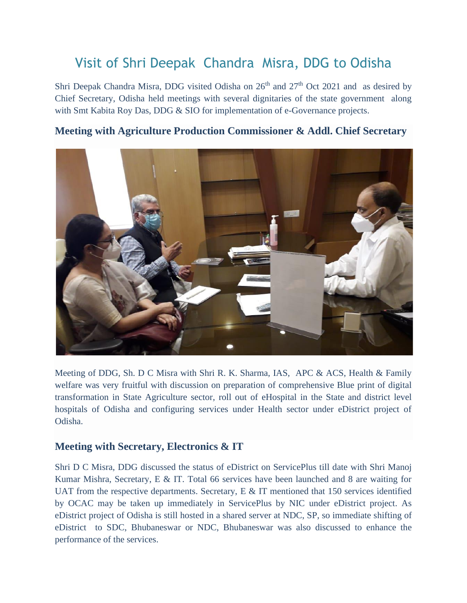# Visit of Shri Deepak Chandra Misra, DDG to Odisha

Shri Deepak Chandra Misra, DDG visited Odisha on  $26<sup>th</sup>$  and  $27<sup>th</sup>$  Oct 2021 and as desired by Chief Secretary, Odisha held meetings with several dignitaries of the state government along with Smt Kabita Roy Das, DDG & SIO for implementation of e-Governance projects.

## **Meeting with Agriculture Production Commissioner & Addl. Chief Secretary**

Meeting of DDG, Sh. D C Misra with Shri R. K. Sharma, IAS, APC & ACS, Health & Family welfare was very fruitful with discussion on preparation of comprehensive Blue print of digital transformation in State Agriculture sector, roll out of eHospital in the State and district level hospitals of Odisha and configuring services under Health sector under eDistrict project of Odisha.

### **Meeting with Secretary, Electronics & IT**

Shri D C Misra, DDG discussed the status of eDistrict on ServicePlus till date with Shri Manoj Kumar Mishra, Secretary, E & IT. Total 66 services have been launched and 8 are waiting for UAT from the respective departments. Secretary,  $E \& \Pi$  mentioned that 150 services identified by OCAC may be taken up immediately in ServicePlus by NIC under eDistrict project. As eDistrict project of Odisha is still hosted in a shared server at NDC, SP, so immediate shifting of eDistrict to SDC, Bhubaneswar or NDC, Bhubaneswar was also discussed to enhance the performance of the services.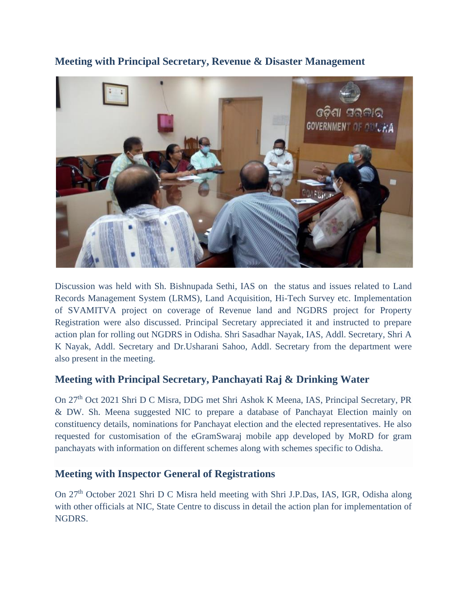

**Meeting with Principal Secretary, Revenue & Disaster Management** 

Discussion was held with Sh. Bishnupada Sethi, IAS on the status and issues related to Land Records Management System (LRMS), Land Acquisition, Hi-Tech Survey etc. Implementation of SVAMITVA project on coverage of Revenue land and NGDRS project for Property Registration were also discussed. Principal Secretary appreciated it and instructed to prepare action plan for rolling out NGDRS in Odisha. Shri Sasadhar Nayak, IAS, Addl. Secretary, Shri A K Nayak, Addl. Secretary and Dr.Usharani Sahoo, Addl. Secretary from the department were also present in the meeting.

### **Meeting with Principal Secretary, Panchayati Raj & Drinking Water**

On 27th Oct 2021 Shri D C Misra, DDG met Shri Ashok K Meena, IAS, Principal Secretary, PR & DW. Sh. Meena suggested NIC to prepare a database of Panchayat Election mainly on constituency details, nominations for Panchayat election and the elected representatives. He also requested for customisation of the eGramSwaraj mobile app developed by MoRD for gram panchayats with information on different schemes along with schemes specific to Odisha.

### **Meeting with Inspector General of Registrations**

On 27th October 2021 Shri D C Misra held meeting with Shri J.P.Das, IAS, IGR, Odisha along with other officials at NIC, State Centre to discuss in detail the action plan for implementation of NGDRS.